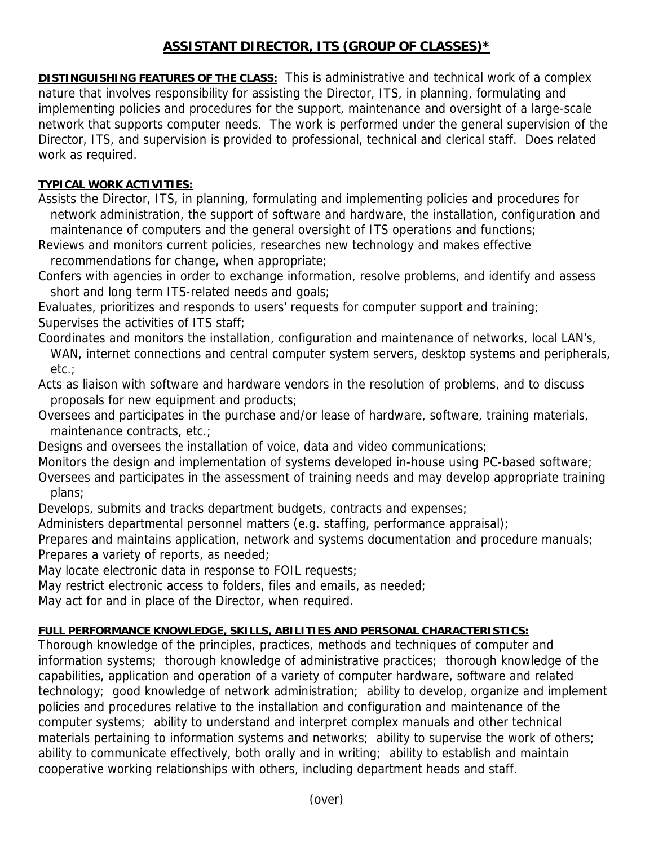## **ASSISTANT DIRECTOR, ITS (GROUP OF CLASSES)\***

**DISTINGUISHING FEATURES OF THE CLASS:** This is administrative and technical work of a complex nature that involves responsibility for assisting the Director, ITS, in planning, formulating and implementing policies and procedures for the support, maintenance and oversight of a large-scale network that supports computer needs. The work is performed under the general supervision of the Director, ITS, and supervision is provided to professional, technical and clerical staff. Does related work as required.

## **TYPICAL WORK ACTIVITIES:**

Assists the Director, ITS, in planning, formulating and implementing policies and procedures for network administration, the support of software and hardware, the installation, configuration and maintenance of computers and the general oversight of ITS operations and functions;

Reviews and monitors current policies, researches new technology and makes effective recommendations for change, when appropriate;

Confers with agencies in order to exchange information, resolve problems, and identify and assess short and long term ITS-related needs and goals;

Evaluates, prioritizes and responds to users' requests for computer support and training; Supervises the activities of ITS staff;

Coordinates and monitors the installation, configuration and maintenance of networks, local LAN's, WAN, internet connections and central computer system servers, desktop systems and peripherals, etc.;

Acts as liaison with software and hardware vendors in the resolution of problems, and to discuss proposals for new equipment and products;

Oversees and participates in the purchase and/or lease of hardware, software, training materials, maintenance contracts, etc.;

Designs and oversees the installation of voice, data and video communications;

Monitors the design and implementation of systems developed in-house using PC-based software; Oversees and participates in the assessment of training needs and may develop appropriate training plans;

Develops, submits and tracks department budgets, contracts and expenses;

Administers departmental personnel matters (e.g. staffing, performance appraisal);

Prepares and maintains application, network and systems documentation and procedure manuals; Prepares a variety of reports, as needed;

May locate electronic data in response to FOIL requests;

May restrict electronic access to folders, files and emails, as needed;

May act for and in place of the Director, when required.

## **FULL PERFORMANCE KNOWLEDGE, SKILLS, ABILITIES AND PERSONAL CHARACTERISTICS:**

Thorough knowledge of the principles, practices, methods and techniques of computer and information systems; thorough knowledge of administrative practices; thorough knowledge of the capabilities, application and operation of a variety of computer hardware, software and related technology; good knowledge of network administration; ability to develop, organize and implement policies and procedures relative to the installation and configuration and maintenance of the computer systems; ability to understand and interpret complex manuals and other technical materials pertaining to information systems and networks; ability to supervise the work of others; ability to communicate effectively, both orally and in writing; ability to establish and maintain cooperative working relationships with others, including department heads and staff.